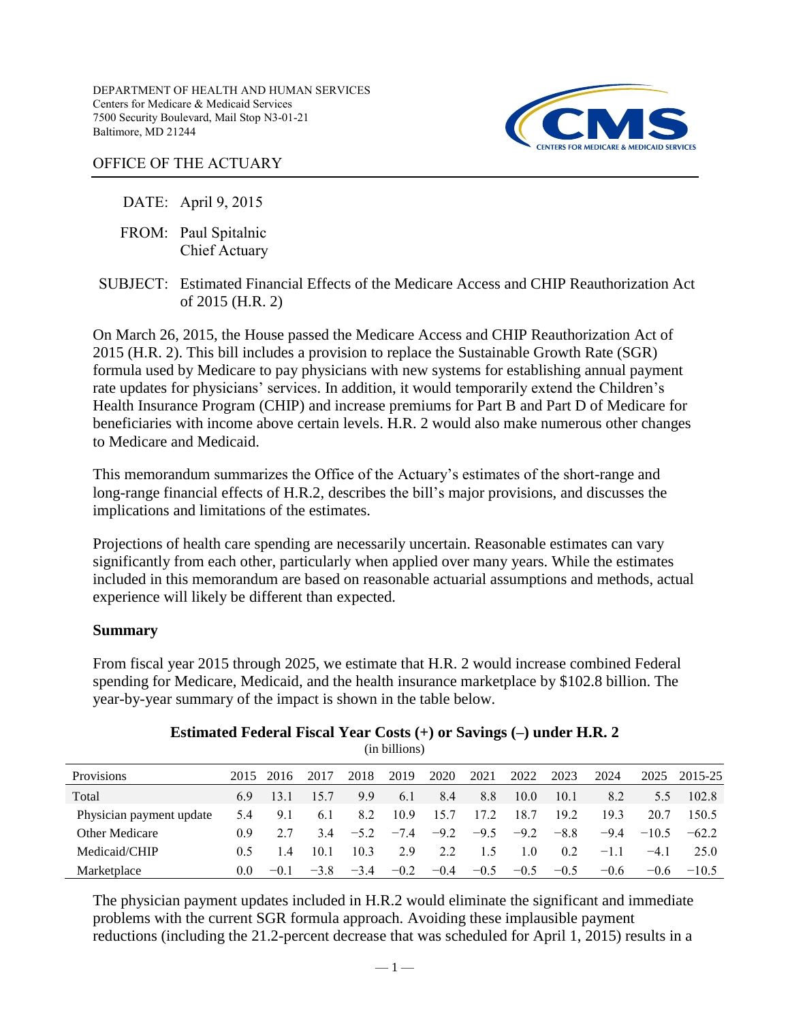DEPARTMENT OF HEALTH AND HUMAN SERVICES Centers for Medicare & Medicaid Services 7500 Security Boulevard, Mail Stop N3-01-21 Baltimore, MD 21244



# OFFICE OF THE ACTUARY

# DATE: April 9, 2015

- FROM: Paul Spitalnic Chief Actuary
- SUBJECT: Estimated Financial Effects of the Medicare Access and CHIP Reauthorization Act of 2015 (H.R. 2)

On March 26, 2015, the House passed the Medicare Access and CHIP Reauthorization Act of 2015 (H.R. 2). This bill includes a provision to replace the Sustainable Growth Rate (SGR) formula used by Medicare to pay physicians with new systems for establishing annual payment rate updates for physicians' services. In addition, it would temporarily extend the Children's Health Insurance Program (CHIP) and increase premiums for Part B and Part D of Medicare for beneficiaries with income above certain levels. H.R. 2 would also make numerous other changes to Medicare and Medicaid.

This memorandum summarizes the Office of the Actuary's estimates of the short-range and long-range financial effects of H.R.2, describes the bill's major provisions, and discusses the implications and limitations of the estimates.

Projections of health care spending are necessarily uncertain. Reasonable estimates can vary significantly from each other, particularly when applied over many years. While the estimates included in this memorandum are based on reasonable actuarial assumptions and methods, actual experience will likely be different than expected.

## **Summary**

From fiscal year 2015 through 2025, we estimate that H.R. 2 would increase combined Federal spending for Medicare, Medicaid, and the health insurance marketplace by \$102.8 billion. The year-by-year summary of the impact is shown in the table below.

|                          | $\cdots$ $\cdots$ |           |        |        |        |        |        |        |        |        |         |         |  |  |  |
|--------------------------|-------------------|-----------|--------|--------|--------|--------|--------|--------|--------|--------|---------|---------|--|--|--|
| Provisions               |                   | 2015 2016 | 2017   | 2018   | 2019   | 2020   | 2021   | 2022   | 2023   | 2024   | 2025    | 2015-25 |  |  |  |
| Total                    | 69                | 13.1      | 15.7   | 9.9    | 6.1    | 8.4    | 8.8    | 10.0   | 10.1   | 8.2    | 5.5     | 102.8   |  |  |  |
| Physician payment update | 5.4               | 9.1       | 6.1    | 8.2    | 10.9   | 15.7   | 17.2   | 18.7   | 19 2   | 193    | 20.7    | 150.5   |  |  |  |
| <b>Other Medicare</b>    | (0.9)             |           | 34     | $-52$  | $-7.4$ | $-9.2$ | $-9.5$ | $-9.2$ | $-8.8$ | $-9.4$ | $-10.5$ | $-622$  |  |  |  |
| Medicaid/CHIP            | 0.5               | 14        | 101    | 10.3   | 29     | 22     | 15     | 10     | 0.2    | $-11$  | $-41$   | 25 O    |  |  |  |
| Marketplace              | 0.0               | $-01$     | $-3.8$ | $-3.4$ | $-0.2$ | $-0.4$ | $-0.5$ | $-0.5$ | $-0.5$ | $-0.6$ | $-0.6$  | $-10.5$ |  |  |  |

### **Estimated Federal Fiscal Year Costs (+) or Savings (–) under H.R. 2**  (in billions)

The physician payment updates included in H.R.2 would eliminate the significant and immediate problems with the current SGR formula approach. Avoiding these implausible payment reductions (including the 21.2-percent decrease that was scheduled for April 1, 2015) results in a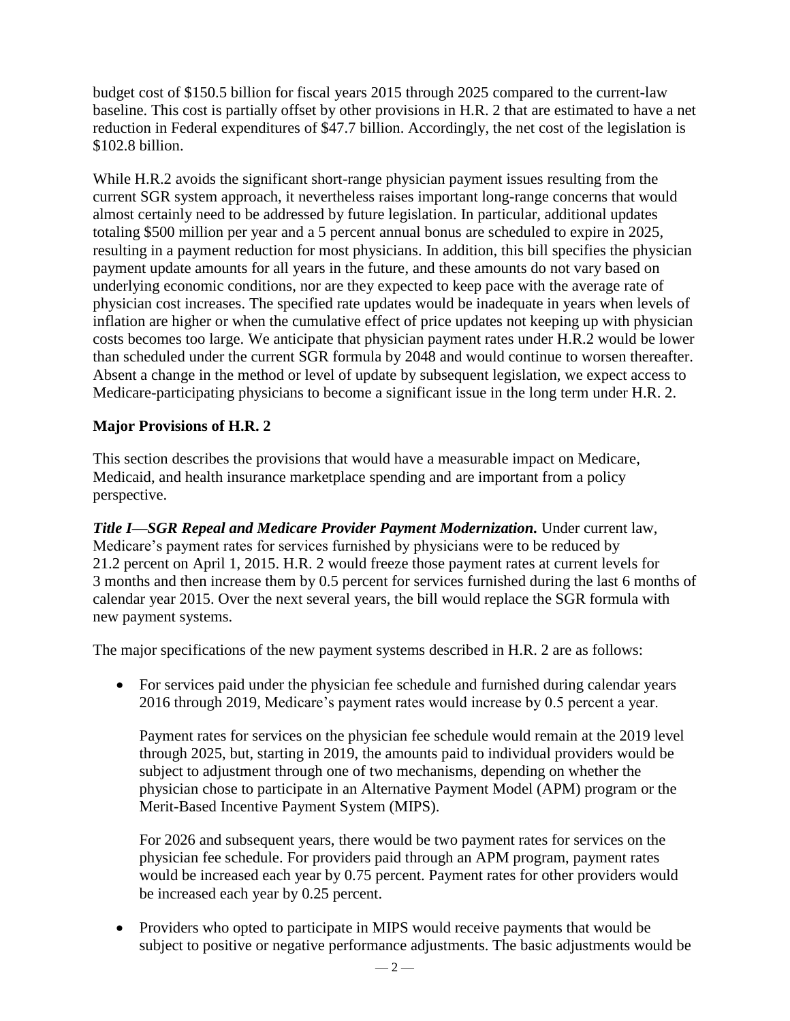budget cost of \$150.5 billion for fiscal years 2015 through 2025 compared to the current-law baseline. This cost is partially offset by other provisions in H.R. 2 that are estimated to have a net reduction in Federal expenditures of \$47.7 billion. Accordingly, the net cost of the legislation is \$102.8 billion.

While H.R.2 avoids the significant short-range physician payment issues resulting from the current SGR system approach, it nevertheless raises important long-range concerns that would almost certainly need to be addressed by future legislation. In particular, additional updates totaling \$500 million per year and a 5 percent annual bonus are scheduled to expire in 2025, resulting in a payment reduction for most physicians. In addition, this bill specifies the physician payment update amounts for all years in the future, and these amounts do not vary based on underlying economic conditions, nor are they expected to keep pace with the average rate of physician cost increases. The specified rate updates would be inadequate in years when levels of inflation are higher or when the cumulative effect of price updates not keeping up with physician costs becomes too large. We anticipate that physician payment rates under H.R.2 would be lower than scheduled under the current SGR formula by 2048 and would continue to worsen thereafter. Absent a change in the method or level of update by subsequent legislation, we expect access to Medicare-participating physicians to become a significant issue in the long term under H.R. 2.

# **Major Provisions of H.R. 2**

This section describes the provisions that would have a measurable impact on Medicare, Medicaid, and health insurance marketplace spending and are important from a policy perspective.

*Title I—SGR Repeal and Medicare Provider Payment Modernization.* Under current law, Medicare's payment rates for services furnished by physicians were to be reduced by 21.2 percent on April 1, 2015. H.R. 2 would freeze those payment rates at current levels for 3 months and then increase them by 0.5 percent for services furnished during the last 6 months of calendar year 2015. Over the next several years, the bill would replace the SGR formula with new payment systems.

The major specifications of the new payment systems described in H.R. 2 are as follows:

• For services paid under the physician fee schedule and furnished during calendar years 2016 through 2019, Medicare's payment rates would increase by 0.5 percent a year.

Payment rates for services on the physician fee schedule would remain at the 2019 level through 2025, but, starting in 2019, the amounts paid to individual providers would be subject to adjustment through one of two mechanisms, depending on whether the physician chose to participate in an Alternative Payment Model (APM) program or the Merit-Based Incentive Payment System (MIPS).

For 2026 and subsequent years, there would be two payment rates for services on the physician fee schedule. For providers paid through an APM program, payment rates would be increased each year by 0.75 percent. Payment rates for other providers would be increased each year by 0.25 percent.

• Providers who opted to participate in MIPS would receive payments that would be subject to positive or negative performance adjustments. The basic adjustments would be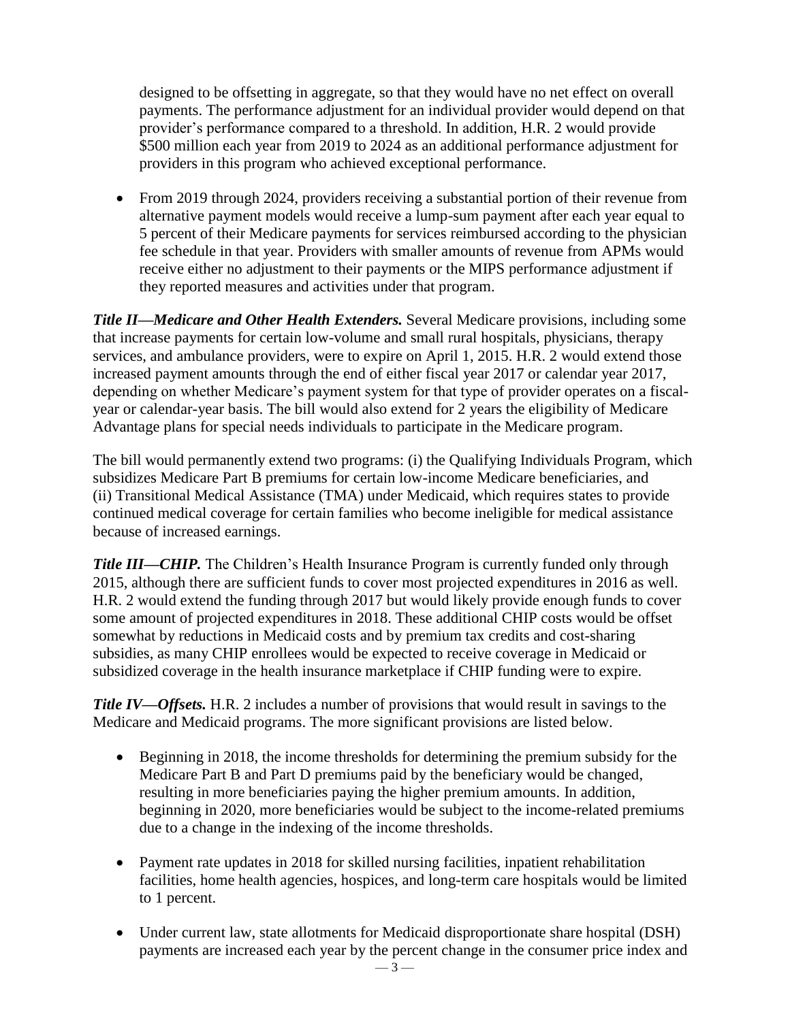designed to be offsetting in aggregate, so that they would have no net effect on overall payments. The performance adjustment for an individual provider would depend on that provider's performance compared to a threshold. In addition, H.R. 2 would provide \$500 million each year from 2019 to 2024 as an additional performance adjustment for providers in this program who achieved exceptional performance.

• From 2019 through 2024, providers receiving a substantial portion of their revenue from alternative payment models would receive a lump-sum payment after each year equal to 5 percent of their Medicare payments for services reimbursed according to the physician fee schedule in that year. Providers with smaller amounts of revenue from APMs would receive either no adjustment to their payments or the MIPS performance adjustment if they reported measures and activities under that program.

*Title II—Medicare and Other Health Extenders.* Several Medicare provisions, including some that increase payments for certain low-volume and small rural hospitals, physicians, therapy services, and ambulance providers, were to expire on April 1, 2015. H.R. 2 would extend those increased payment amounts through the end of either fiscal year 2017 or calendar year 2017, depending on whether Medicare's payment system for that type of provider operates on a fiscalyear or calendar-year basis. The bill would also extend for 2 years the eligibility of Medicare Advantage plans for special needs individuals to participate in the Medicare program.

The bill would permanently extend two programs: (i) the Qualifying Individuals Program, which subsidizes Medicare Part B premiums for certain low-income Medicare beneficiaries, and (ii) Transitional Medical Assistance (TMA) under Medicaid, which requires states to provide continued medical coverage for certain families who become ineligible for medical assistance because of increased earnings.

*Title III—CHIP*. The Children's Health Insurance Program is currently funded only through 2015, although there are sufficient funds to cover most projected expenditures in 2016 as well. H.R. 2 would extend the funding through 2017 but would likely provide enough funds to cover some amount of projected expenditures in 2018. These additional CHIP costs would be offset somewhat by reductions in Medicaid costs and by premium tax credits and cost-sharing subsidies, as many CHIP enrollees would be expected to receive coverage in Medicaid or subsidized coverage in the health insurance marketplace if CHIP funding were to expire.

*Title IV—Offsets.* H.R. 2 includes a number of provisions that would result in savings to the Medicare and Medicaid programs. The more significant provisions are listed below.

- Beginning in 2018, the income thresholds for determining the premium subsidy for the Medicare Part B and Part D premiums paid by the beneficiary would be changed, resulting in more beneficiaries paying the higher premium amounts. In addition, beginning in 2020, more beneficiaries would be subject to the income-related premiums due to a change in the indexing of the income thresholds.
- Payment rate updates in 2018 for skilled nursing facilities, inpatient rehabilitation facilities, home health agencies, hospices, and long-term care hospitals would be limited to 1 percent.
- Under current law, state allotments for Medicaid disproportionate share hospital (DSH) payments are increased each year by the percent change in the consumer price index and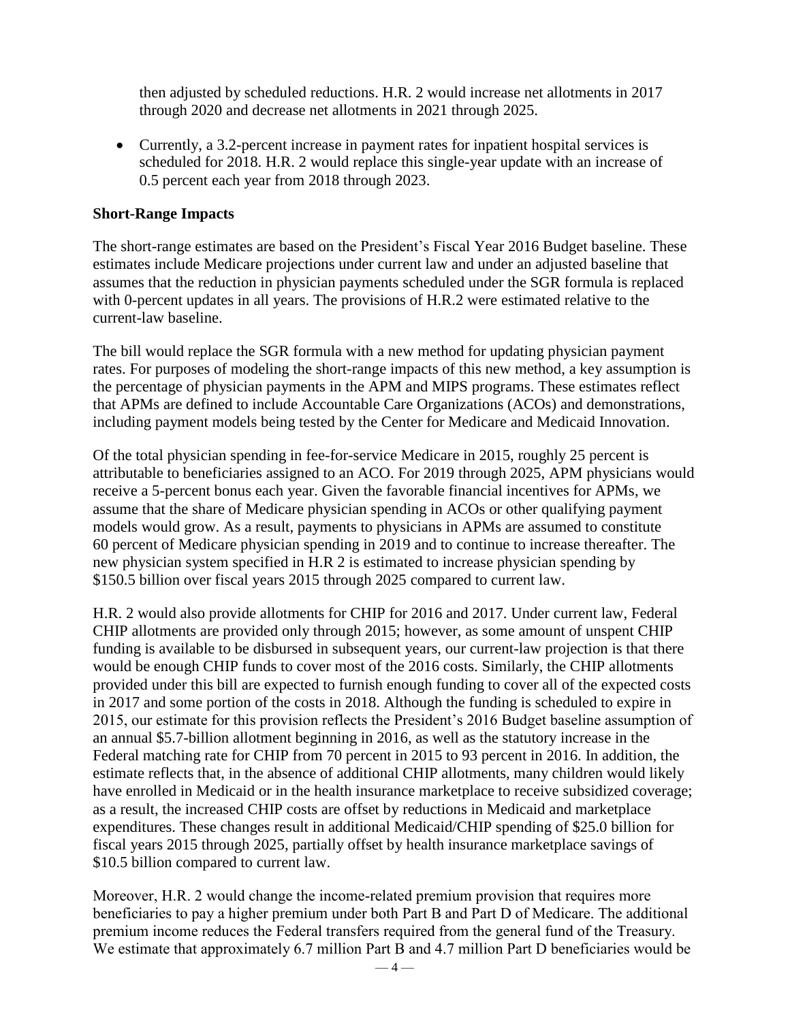then adjusted by scheduled reductions. H.R. 2 would increase net allotments in 2017 through 2020 and decrease net allotments in 2021 through 2025.

 Currently, a 3.2-percent increase in payment rates for inpatient hospital services is scheduled for 2018. H.R. 2 would replace this single-year update with an increase of 0.5 percent each year from 2018 through 2023.

## **Short-Range Impacts**

The short-range estimates are based on the President's Fiscal Year 2016 Budget baseline. These estimates include Medicare projections under current law and under an adjusted baseline that assumes that the reduction in physician payments scheduled under the SGR formula is replaced with 0-percent updates in all years. The provisions of H.R.2 were estimated relative to the current-law baseline.

The bill would replace the SGR formula with a new method for updating physician payment rates. For purposes of modeling the short-range impacts of this new method, a key assumption is the percentage of physician payments in the APM and MIPS programs. These estimates reflect that APMs are defined to include Accountable Care Organizations (ACOs) and demonstrations, including payment models being tested by the Center for Medicare and Medicaid Innovation.

Of the total physician spending in fee-for-service Medicare in 2015, roughly 25 percent is attributable to beneficiaries assigned to an ACO. For 2019 through 2025, APM physicians would receive a 5-percent bonus each year. Given the favorable financial incentives for APMs, we assume that the share of Medicare physician spending in ACOs or other qualifying payment models would grow. As a result, payments to physicians in APMs are assumed to constitute 60 percent of Medicare physician spending in 2019 and to continue to increase thereafter. The new physician system specified in H.R 2 is estimated to increase physician spending by \$150.5 billion over fiscal years 2015 through 2025 compared to current law.

H.R. 2 would also provide allotments for CHIP for 2016 and 2017. Under current law, Federal CHIP allotments are provided only through 2015; however, as some amount of unspent CHIP funding is available to be disbursed in subsequent years, our current-law projection is that there would be enough CHIP funds to cover most of the 2016 costs. Similarly, the CHIP allotments provided under this bill are expected to furnish enough funding to cover all of the expected costs in 2017 and some portion of the costs in 2018. Although the funding is scheduled to expire in 2015, our estimate for this provision reflects the President's 2016 Budget baseline assumption of an annual \$5.7-billion allotment beginning in 2016, as well as the statutory increase in the Federal matching rate for CHIP from 70 percent in 2015 to 93 percent in 2016. In addition, the estimate reflects that, in the absence of additional CHIP allotments, many children would likely have enrolled in Medicaid or in the health insurance marketplace to receive subsidized coverage; as a result, the increased CHIP costs are offset by reductions in Medicaid and marketplace expenditures. These changes result in additional Medicaid/CHIP spending of \$25.0 billion for fiscal years 2015 through 2025, partially offset by health insurance marketplace savings of \$10.5 billion compared to current law.

Moreover, H.R. 2 would change the income-related premium provision that requires more beneficiaries to pay a higher premium under both Part B and Part D of Medicare. The additional premium income reduces the Federal transfers required from the general fund of the Treasury. We estimate that approximately 6.7 million Part B and 4.7 million Part D beneficiaries would be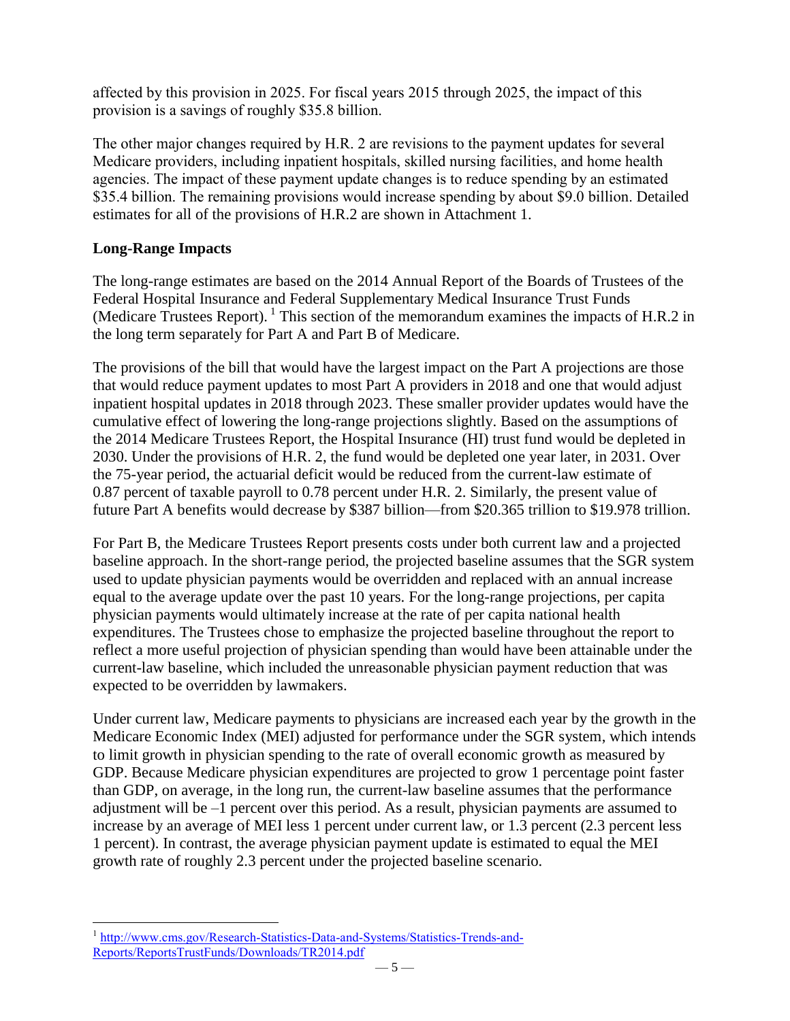affected by this provision in 2025. For fiscal years 2015 through 2025, the impact of this provision is a savings of roughly \$35.8 billion.

The other major changes required by H.R. 2 are revisions to the payment updates for several Medicare providers, including inpatient hospitals, skilled nursing facilities, and home health agencies. The impact of these payment update changes is to reduce spending by an estimated \$35.4 billion. The remaining provisions would increase spending by about \$9.0 billion. Detailed estimates for all of the provisions of H.R.2 are shown in Attachment 1.

# **Long-Range Impacts**

The long-range estimates are based on the 2014 Annual Report of the Boards of Trustees of the Federal Hospital Insurance and Federal Supplementary Medical Insurance Trust Funds (Medicare Trustees Report). <sup>1</sup> This section of the memorandum examines the impacts of H.R.2 in the long term separately for Part A and Part B of Medicare.

The provisions of the bill that would have the largest impact on the Part A projections are those that would reduce payment updates to most Part A providers in 2018 and one that would adjust inpatient hospital updates in 2018 through 2023. These smaller provider updates would have the cumulative effect of lowering the long-range projections slightly. Based on the assumptions of the 2014 Medicare Trustees Report, the Hospital Insurance (HI) trust fund would be depleted in 2030. Under the provisions of H.R. 2, the fund would be depleted one year later, in 2031. Over the 75-year period, the actuarial deficit would be reduced from the current-law estimate of 0.87 percent of taxable payroll to 0.78 percent under H.R. 2. Similarly, the present value of future Part A benefits would decrease by \$387 billion—from \$20.365 trillion to \$19.978 trillion.

For Part B, the Medicare Trustees Report presents costs under both current law and a projected baseline approach. In the short-range period, the projected baseline assumes that the SGR system used to update physician payments would be overridden and replaced with an annual increase equal to the average update over the past 10 years. For the long-range projections, per capita physician payments would ultimately increase at the rate of per capita national health expenditures. The Trustees chose to emphasize the projected baseline throughout the report to reflect a more useful projection of physician spending than would have been attainable under the current-law baseline, which included the unreasonable physician payment reduction that was expected to be overridden by lawmakers.

Under current law, Medicare payments to physicians are increased each year by the growth in the Medicare Economic Index (MEI) adjusted for performance under the SGR system, which intends to limit growth in physician spending to the rate of overall economic growth as measured by GDP. Because Medicare physician expenditures are projected to grow 1 percentage point faster than GDP, on average, in the long run, the current-law baseline assumes that the performance adjustment will be –1 percent over this period. As a result, physician payments are assumed to increase by an average of MEI less 1 percent under current law, or 1.3 percent (2.3 percent less 1 percent). In contrast, the average physician payment update is estimated to equal the MEI growth rate of roughly 2.3 percent under the projected baseline scenario.

 $\overline{a}$ <sup>1</sup> [http://www.cms.gov/Research-Statistics-Data-and-Systems/Statistics-Trends-and-](http://www.cms.gov/Research-Statistics-Data-and-Systems/Statistics-Trends-and-Reports/ReportsTrustFunds/Downloads/TR2014.pdf)[Reports/ReportsTrustFunds/Downloads/TR2014.pdf](http://www.cms.gov/Research-Statistics-Data-and-Systems/Statistics-Trends-and-Reports/ReportsTrustFunds/Downloads/TR2014.pdf)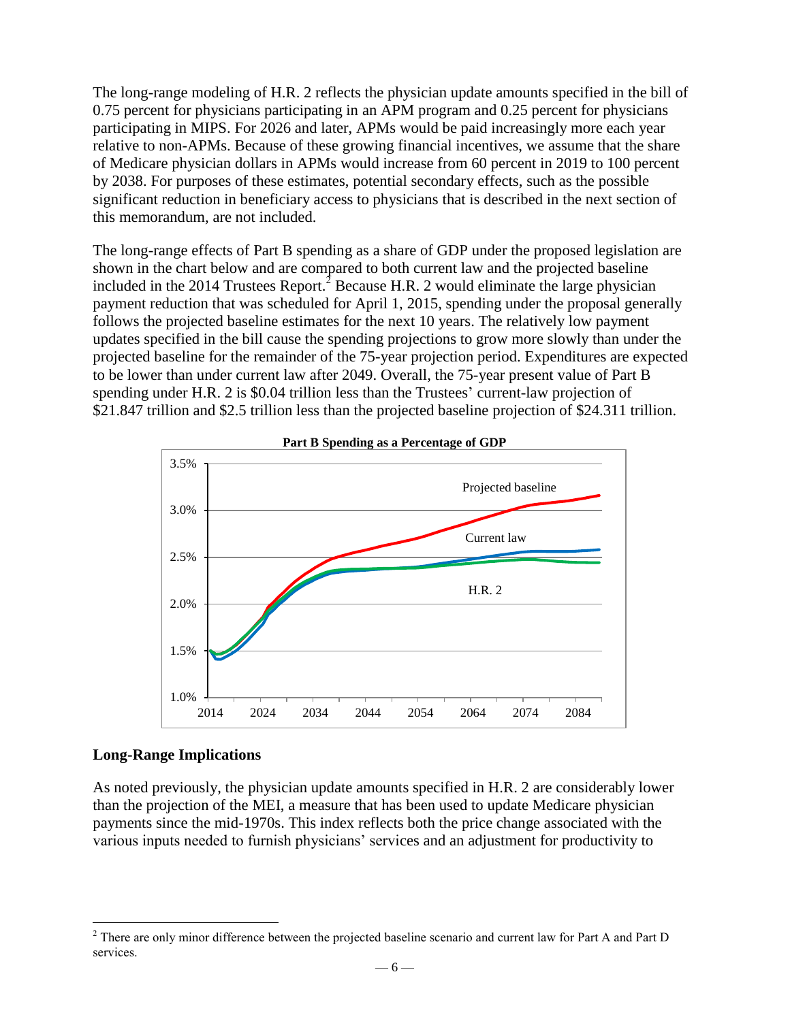The long-range modeling of H.R. 2 reflects the physician update amounts specified in the bill of 0.75 percent for physicians participating in an APM program and 0.25 percent for physicians participating in MIPS. For 2026 and later, APMs would be paid increasingly more each year relative to non-APMs. Because of these growing financial incentives, we assume that the share of Medicare physician dollars in APMs would increase from 60 percent in 2019 to 100 percent by 2038. For purposes of these estimates, potential secondary effects, such as the possible significant reduction in beneficiary access to physicians that is described in the next section of this memorandum, are not included.

The long-range effects of Part B spending as a share of GDP under the proposed legislation are shown in the chart below and are compared to both current law and the projected baseline included in the 2014 Trustees Report.<sup>2</sup> Because H.R. 2 would eliminate the large physician payment reduction that was scheduled for April 1, 2015, spending under the proposal generally follows the projected baseline estimates for the next 10 years. The relatively low payment updates specified in the bill cause the spending projections to grow more slowly than under the projected baseline for the remainder of the 75-year projection period. Expenditures are expected to be lower than under current law after 2049. Overall, the 75-year present value of Part B spending under H.R. 2 is \$0.04 trillion less than the Trustees' current-law projection of \$21.847 trillion and \$2.5 trillion less than the projected baseline projection of \$24.311 trillion.



## **Long-Range Implications**

 $\overline{a}$ 

As noted previously, the physician update amounts specified in H.R. 2 are considerably lower than the projection of the MEI, a measure that has been used to update Medicare physician payments since the mid-1970s. This index reflects both the price change associated with the various inputs needed to furnish physicians' services and an adjustment for productivity to

 $2^2$  There are only minor difference between the projected baseline scenario and current law for Part A and Part D services.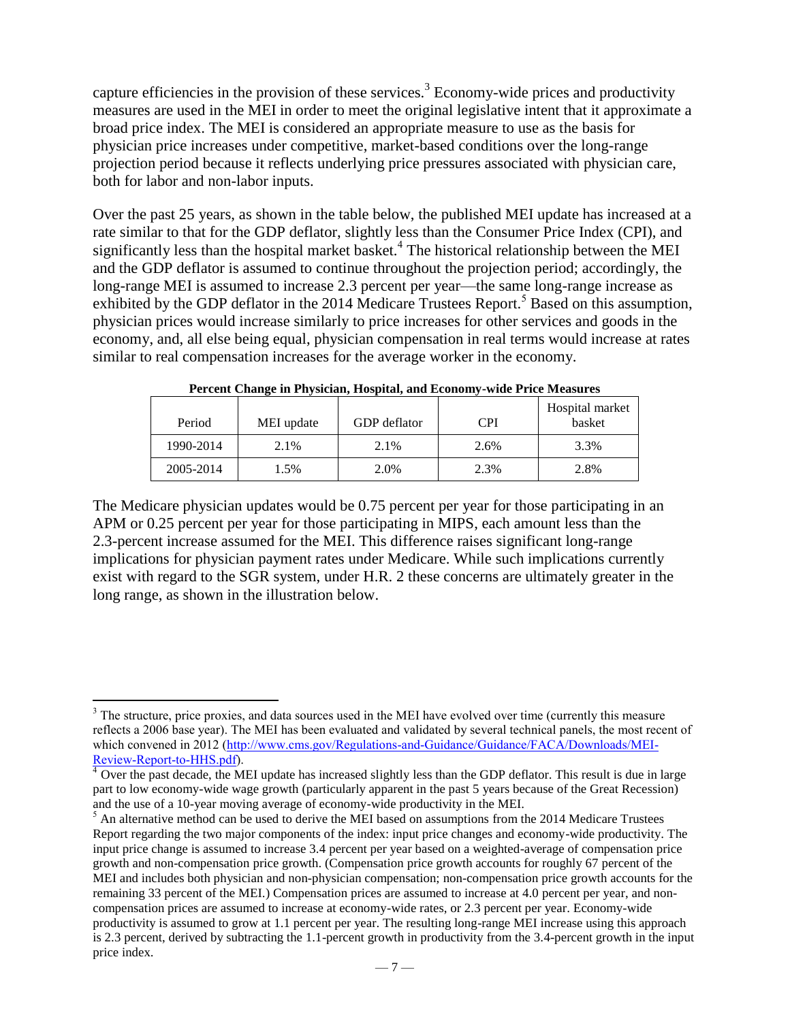capture efficiencies in the provision of these services.<sup>3</sup> Economy-wide prices and productivity measures are used in the MEI in order to meet the original legislative intent that it approximate a broad price index. The MEI is considered an appropriate measure to use as the basis for physician price increases under competitive, market-based conditions over the long-range projection period because it reflects underlying price pressures associated with physician care, both for labor and non-labor inputs.

Over the past 25 years, as shown in the table below, the published MEI update has increased at a rate similar to that for the GDP deflator, slightly less than the Consumer Price Index (CPI), and significantly less than the hospital market basket.<sup>4</sup> The historical relationship between the MEI and the GDP deflator is assumed to continue throughout the projection period; accordingly, the long-range MEI is assumed to increase 2.3 percent per year—the same long-range increase as exhibited by the GDP deflator in the 2014 Medicare Trustees Report.<sup>5</sup> Based on this assumption, physician prices would increase similarly to price increases for other services and goods in the economy, and, all else being equal, physician compensation in real terms would increase at rates similar to real compensation increases for the average worker in the economy.

| Period    | MEI update | <b>GDP</b> deflator | CPI  | Hospital market<br>basket |
|-----------|------------|---------------------|------|---------------------------|
| 1990-2014 | 2.1%       | 2.1%                | 2.6% | 3.3%                      |
| 2005-2014 | 1.5%       | 2.0%                | 2.3% | 2.8%                      |

**Percent Change in Physician, Hospital, and Economy-wide Price Measures** 

The Medicare physician updates would be 0.75 percent per year for those participating in an APM or 0.25 percent per year for those participating in MIPS, each amount less than the 2.3-percent increase assumed for the MEI. This difference raises significant long-range implications for physician payment rates under Medicare. While such implications currently exist with regard to the SGR system, under H.R. 2 these concerns are ultimately greater in the long range, as shown in the illustration below.

 $\overline{a}$ 

 $3$  The structure, price proxies, and data sources used in the MEI have evolved over time (currently this measure reflects a 2006 base year). The MEI has been evaluated and validated by several technical panels, the most recent of which convened in 2012 [\(http://www.cms.gov/Regulations-and-Guidance/Guidance/FACA/Downloads/MEI-](http://www.cms.gov/Regulations-and-Guidance/Guidance/FACA/Downloads/MEI-Review-Report-to-HHS.pdf)[Review-Report-to-HHS.pdf\)](http://www.cms.gov/Regulations-and-Guidance/Guidance/FACA/Downloads/MEI-Review-Report-to-HHS.pdf).

<sup>&</sup>lt;sup>4</sup> Over the past decade, the MEI update has increased slightly less than the GDP deflator. This result is due in large part to low economy-wide wage growth (particularly apparent in the past 5 years because of the Great Recession) and the use of a 10-year moving average of economy-wide productivity in the MEI.

<sup>&</sup>lt;sup>5</sup> An alternative method can be used to derive the MEI based on assumptions from the 2014 Medicare Trustees Report regarding the two major components of the index: input price changes and economy-wide productivity. The input price change is assumed to increase 3.4 percent per year based on a weighted-average of compensation price growth and non-compensation price growth. (Compensation price growth accounts for roughly 67 percent of the MEI and includes both physician and non-physician compensation; non-compensation price growth accounts for the remaining 33 percent of the MEI.) Compensation prices are assumed to increase at 4.0 percent per year, and noncompensation prices are assumed to increase at economy-wide rates, or 2.3 percent per year. Economy-wide productivity is assumed to grow at 1.1 percent per year. The resulting long-range MEI increase using this approach is 2.3 percent, derived by subtracting the 1.1-percent growth in productivity from the 3.4-percent growth in the input price index.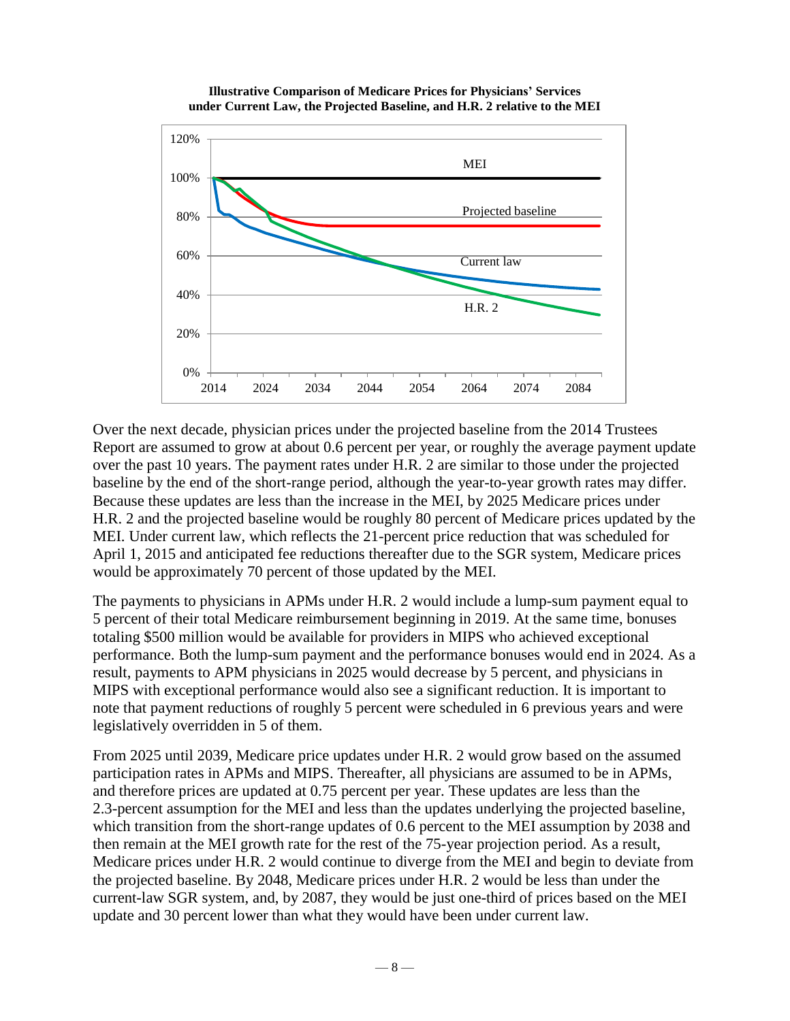**Illustrative Comparison of Medicare Prices for Physicians' Services under Current Law, the Projected Baseline, and H.R. 2 relative to the MEI**



Over the next decade, physician prices under the projected baseline from the 2014 Trustees Report are assumed to grow at about 0.6 percent per year, or roughly the average payment update over the past 10 years. The payment rates under H.R. 2 are similar to those under the projected baseline by the end of the short-range period, although the year-to-year growth rates may differ. Because these updates are less than the increase in the MEI, by 2025 Medicare prices under H.R. 2 and the projected baseline would be roughly 80 percent of Medicare prices updated by the MEI. Under current law, which reflects the 21-percent price reduction that was scheduled for April 1, 2015 and anticipated fee reductions thereafter due to the SGR system, Medicare prices would be approximately 70 percent of those updated by the MEI.

The payments to physicians in APMs under H.R. 2 would include a lump-sum payment equal to 5 percent of their total Medicare reimbursement beginning in 2019. At the same time, bonuses totaling \$500 million would be available for providers in MIPS who achieved exceptional performance. Both the lump-sum payment and the performance bonuses would end in 2024. As a result, payments to APM physicians in 2025 would decrease by 5 percent, and physicians in MIPS with exceptional performance would also see a significant reduction. It is important to note that payment reductions of roughly 5 percent were scheduled in 6 previous years and were legislatively overridden in 5 of them.

From 2025 until 2039, Medicare price updates under H.R. 2 would grow based on the assumed participation rates in APMs and MIPS. Thereafter, all physicians are assumed to be in APMs, and therefore prices are updated at 0.75 percent per year. These updates are less than the 2.3-percent assumption for the MEI and less than the updates underlying the projected baseline, which transition from the short-range updates of 0.6 percent to the MEI assumption by 2038 and then remain at the MEI growth rate for the rest of the 75-year projection period. As a result, Medicare prices under H.R. 2 would continue to diverge from the MEI and begin to deviate from the projected baseline. By 2048, Medicare prices under H.R. 2 would be less than under the current-law SGR system, and, by 2087, they would be just one-third of prices based on the MEI update and 30 percent lower than what they would have been under current law.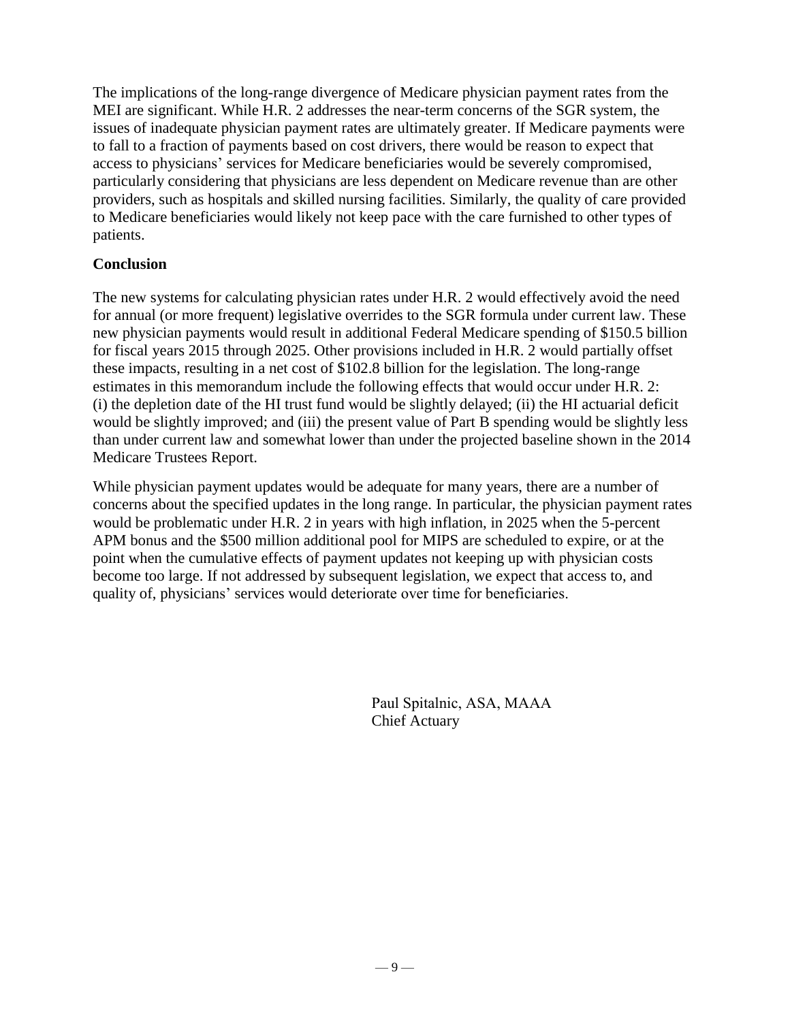The implications of the long-range divergence of Medicare physician payment rates from the MEI are significant. While H.R. 2 addresses the near-term concerns of the SGR system, the issues of inadequate physician payment rates are ultimately greater. If Medicare payments were to fall to a fraction of payments based on cost drivers, there would be reason to expect that access to physicians' services for Medicare beneficiaries would be severely compromised, particularly considering that physicians are less dependent on Medicare revenue than are other providers, such as hospitals and skilled nursing facilities. Similarly, the quality of care provided to Medicare beneficiaries would likely not keep pace with the care furnished to other types of patients.

## **Conclusion**

The new systems for calculating physician rates under H.R. 2 would effectively avoid the need for annual (or more frequent) legislative overrides to the SGR formula under current law. These new physician payments would result in additional Federal Medicare spending of \$150.5 billion for fiscal years 2015 through 2025. Other provisions included in H.R. 2 would partially offset these impacts, resulting in a net cost of \$102.8 billion for the legislation. The long-range estimates in this memorandum include the following effects that would occur under H.R. 2: (i) the depletion date of the HI trust fund would be slightly delayed; (ii) the HI actuarial deficit would be slightly improved; and (iii) the present value of Part B spending would be slightly less than under current law and somewhat lower than under the projected baseline shown in the 2014 Medicare Trustees Report.

While physician payment updates would be adequate for many years, there are a number of concerns about the specified updates in the long range. In particular, the physician payment rates would be problematic under H.R. 2 in years with high inflation, in 2025 when the 5-percent APM bonus and the \$500 million additional pool for MIPS are scheduled to expire, or at the point when the cumulative effects of payment updates not keeping up with physician costs become too large. If not addressed by subsequent legislation, we expect that access to, and quality of, physicians' services would deteriorate over time for beneficiaries.

> Paul Spitalnic, ASA, MAAA Chief Actuary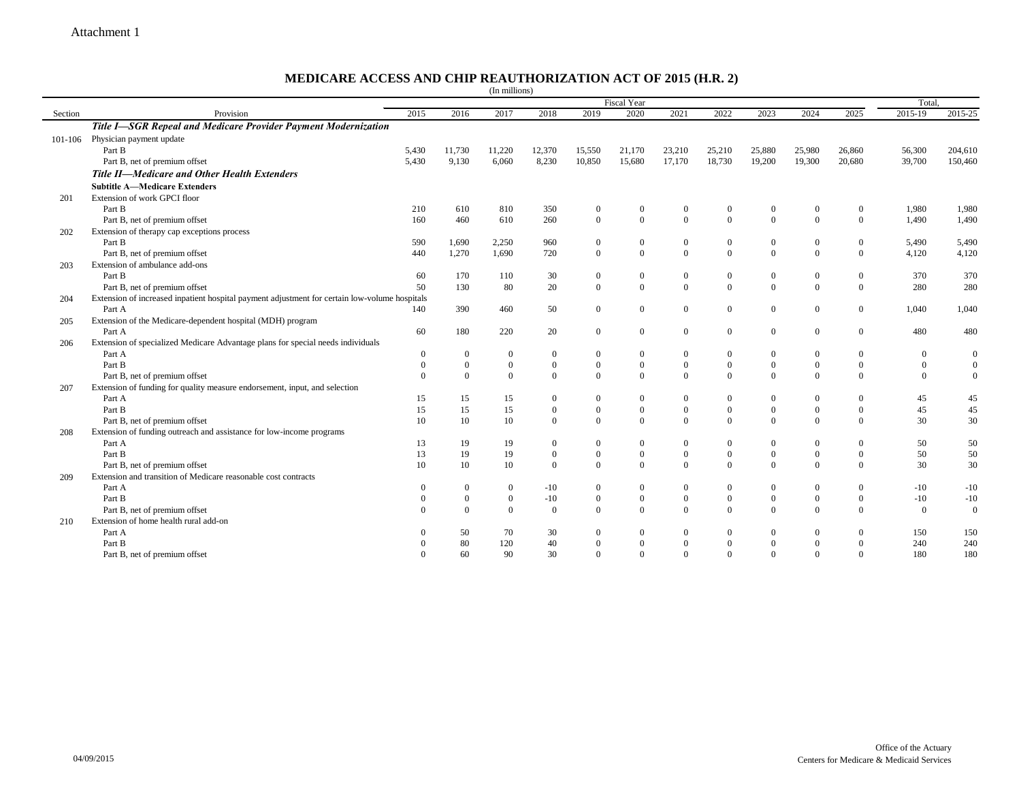## **MEDICARE ACCESS AND CHIP REAUTHORIZATION ACT OF 2015 (H.R. 2)**

|         |                                                                                               |                |              | (In millions)  |                  |                  |                  |                  |                  |                  |                |                  |                |                  |
|---------|-----------------------------------------------------------------------------------------------|----------------|--------------|----------------|------------------|------------------|------------------|------------------|------------------|------------------|----------------|------------------|----------------|------------------|
|         | <b>Fiscal Year</b>                                                                            |                |              |                |                  |                  |                  |                  |                  |                  |                |                  |                |                  |
| Section | Provision                                                                                     | 2015           | 2016         | 2017           | 2018             | 2019             | 2020             | 2021             | 2022             | 2023             | 2024           | 2025             | 2015-19        | 2015-25          |
|         | Title I-SGR Repeal and Medicare Provider Payment Modernization                                |                |              |                |                  |                  |                  |                  |                  |                  |                |                  |                |                  |
|         | 101-106 Physician payment update                                                              |                |              |                |                  |                  |                  |                  |                  |                  |                |                  |                |                  |
|         | Part B                                                                                        | 5,430          | 11,730       | 11,220         | 12,370           | 15,550           | 21,170           | 23,210           | 25,210           | 25,880           | 25,980         | 26,860           | 56,300         | 204,610          |
|         | Part B, net of premium offset                                                                 | 5,430          | 9,130        | 6,060          | 8,230            | 10,850           | 15,680           | 17,170           | 18,730           | 19,200           | 19,300         | 20,680           | 39,700         | 150,460          |
|         | Title II-Medicare and Other Health Extenders                                                  |                |              |                |                  |                  |                  |                  |                  |                  |                |                  |                |                  |
|         | <b>Subtitle A-Medicare Extenders</b>                                                          |                |              |                |                  |                  |                  |                  |                  |                  |                |                  |                |                  |
| 201     | Extension of work GPCI floor                                                                  |                |              |                |                  |                  |                  |                  |                  |                  |                |                  |                |                  |
|         | Part B                                                                                        | 210            | 610          | 810            | 350              | $\boldsymbol{0}$ | $\theta$         | $\theta$         | $\mathbf{0}$     | $\boldsymbol{0}$ | $\overline{0}$ | $\overline{0}$   | 1,980          | 1,980            |
|         | Part B, net of premium offset                                                                 | 160            | 460          | 610            | 260              | $\overline{0}$   | $\theta$         | $\theta$         | $\theta$         | $\theta$         | $\theta$       | $\Omega$         | 1,490          | 1,490            |
| 202     | Extension of therapy cap exceptions process                                                   |                |              |                |                  |                  |                  |                  |                  |                  |                |                  |                |                  |
|         | Part B                                                                                        | 590            | 1,690        | 2,250          | 960              | $\boldsymbol{0}$ | $\boldsymbol{0}$ | $\overline{0}$   | $\boldsymbol{0}$ | $\boldsymbol{0}$ | $\mathbf{0}$   | $\overline{0}$   | 5,490          | 5,490            |
|         | Part B, net of premium offset                                                                 | 440            | 1,270        | 1,690          | 720              | $\overline{0}$   | $\mathbf{0}$     | $\theta$         | $\theta$         | $\overline{0}$   | $\mathbf{0}$   | $\overline{0}$   | 4,120          | 4,120            |
| 203     | Extension of ambulance add-ons                                                                |                |              |                |                  |                  |                  |                  |                  |                  |                |                  |                |                  |
|         | Part B                                                                                        | 60             | 170          | 110            | 30               | $\boldsymbol{0}$ | $\boldsymbol{0}$ | $\boldsymbol{0}$ | $\mathbf{0}$     | $\boldsymbol{0}$ | $\mathbf{0}$   | $\overline{0}$   | 370            | 370              |
|         | Part B, net of premium offset                                                                 | 50             | 130          | 80             | 20               | $\mathbf{0}$     | $\mathbf{0}$     | $\theta$         | $\theta$         | $\overline{0}$   | $\overline{0}$ | $\overline{0}$   | 280            | 280              |
| 204     | Extension of increased inpatient hospital payment adjustment for certain low-volume hospitals |                |              |                |                  |                  |                  |                  |                  |                  |                |                  |                |                  |
|         | Part A                                                                                        | 140            | 390          | 460            | 50               | $\overline{0}$   | $\overline{0}$   | $\overline{0}$   | $\theta$         | $\overline{0}$   | $\overline{0}$ | $\overline{0}$   | 1,040          | 1,040            |
| 205     | Extension of the Medicare-dependent hospital (MDH) program                                    |                |              |                |                  |                  |                  |                  |                  |                  |                |                  |                |                  |
|         | Part A                                                                                        | 60             | 180          | 220            | 20               | $\boldsymbol{0}$ | $\overline{0}$   | $\overline{0}$   | $\Omega$         | $\mathbf{0}$     | $\overline{0}$ | $\overline{0}$   | 480            | 480              |
| 206     | Extension of specialized Medicare Advantage plans for special needs individuals               |                |              |                |                  |                  |                  |                  |                  |                  |                |                  |                |                  |
|         | Part A                                                                                        | $\theta$       | $\theta$     | $\overline{0}$ | $\overline{0}$   | $\mathbf{0}$     | $\theta$         | $\Omega$         | $\overline{0}$   | $\overline{0}$   | $\overline{0}$ | $\overline{0}$   | $\overline{0}$ | $\overline{0}$   |
|         | Part B                                                                                        | $\overline{0}$ | $\mathbf{0}$ | $\mathbf{0}$   | $\boldsymbol{0}$ | $\boldsymbol{0}$ | $\mathbf{0}$     | $\mathbf{0}$     | $\mathbf{0}$     | $\mathbf{0}$     | $\mathbf{0}$   | $\mathbf{0}$     | $\mathbf{0}$   | $\boldsymbol{0}$ |
|         | Part B, net of premium offset                                                                 | $\Omega$       | $\theta$     | $\theta$       | $\theta$         | $\theta$         | $\theta$         | $\Omega$         | $\theta$         | $\theta$         | $\overline{0}$ | $\overline{0}$   | $\overline{0}$ | $\mathbf{0}$     |
| 207     | Extension of funding for quality measure endorsement, input, and selection                    |                |              |                |                  |                  |                  |                  |                  |                  |                |                  |                |                  |
|         | Part A                                                                                        | 15             | 15           | 15             | $\mathbf{0}$     | $\mathbf{0}$     | $\mathbf{0}$     | $\Omega$         | $\overline{0}$   | $\boldsymbol{0}$ | $\overline{0}$ | $\mathbf{0}$     | 45             | 45               |
|         | Part B                                                                                        | 15             | 15           | 15             | $\overline{0}$   | $\mathbf{0}$     | $\theta$         | $\mathbf{0}$     | $\mathbf{0}$     | $\mathbf{0}$     | $\overline{0}$ | $\overline{0}$   | 45             | 45               |
|         | Part B, net of premium offset                                                                 | 10             | 10           | 10             | $\theta$         | $\Omega$         | $\theta$         | $\theta$         | $\theta$         | $\theta$         | $\Omega$       | $\Omega$         | 30             | 30               |
| 208     | Extension of funding outreach and assistance for low-income programs                          |                |              |                |                  |                  |                  |                  |                  |                  |                |                  |                |                  |
|         | Part A                                                                                        | 13             | 19           | 19             | $\theta$         | $\boldsymbol{0}$ | $\Omega$         | $\Omega$         | $\overline{0}$   | $\boldsymbol{0}$ | $\mathbf{0}$   | $\overline{0}$   | 50             | 50               |
|         | Part B                                                                                        | 13             | 19           | 19             | $\overline{0}$   | $\mathbf{0}$     | $\theta$         | $\overline{0}$   | $\mathbf{0}$     | $\boldsymbol{0}$ | $\overline{0}$ | $\overline{0}$   | 50             | 50               |
|         | Part B, net of premium offset                                                                 | 10             | 10           | 10             | $\theta$         | $\mathbf{0}$     | $\theta$         | $\Omega$         | $\theta$         | $\Omega$         | $\mathbf{0}$   | $\overline{0}$   | 30             | 30               |
| 209     | Extension and transition of Medicare reasonable cost contracts                                |                |              |                |                  |                  |                  |                  |                  |                  |                |                  |                |                  |
|         | Part A                                                                                        | $\Omega$       | $\bf{0}$     | $\mathbf{0}$   | $-10$            | $\boldsymbol{0}$ | $\mathbf{0}$     | $\Omega$         | $\mathbf{0}$     | $\boldsymbol{0}$ | $\overline{0}$ | $\overline{0}$   | $-10$          | $-10$            |
|         | Part B                                                                                        | $\overline{0}$ | $\mathbf{0}$ | $\mathbf{0}$   | $-10$            | $\boldsymbol{0}$ | $\theta$         | $\overline{0}$   | $\mathbf{0}$     | $\mathbf{0}$     | $\overline{0}$ | $\boldsymbol{0}$ | $-10$          | $-10$            |
|         | Part B, net of premium offset                                                                 | $\Omega$       | $\theta$     | $\Omega$       | $\theta$         | $\Omega$         | $\theta$         | $\Omega$         | $\theta$         | $\Omega$         | $\theta$       | $\theta$         | $\overline{0}$ | $\mathbf{0}$     |
| 210     | Extension of home health rural add-on                                                         |                |              |                |                  |                  |                  |                  |                  |                  |                |                  |                |                  |
|         | Part A                                                                                        |                | 50           | 70             | 30               | $\boldsymbol{0}$ | $\theta$         | $\Omega$         | $\overline{0}$   | $\overline{0}$   | $\mathbf{0}$   | $\overline{0}$   | 150            | 150              |
|         | Part B                                                                                        |                | 80           | 120            | 40               | $\mathbf{0}$     | $\Omega$         | $\Omega$         | $\theta$         | $\overline{0}$   | $\overline{0}$ | $\Omega$         | 240            | 240              |
|         | Part B, net of premium offset                                                                 | $\Omega$       | 60           | 90             | 30               | $\theta$         | $\Omega$         | $\Omega$         | $\Omega$         | $\Omega$         | $\Omega$       | $\Omega$         | 180            | 180              |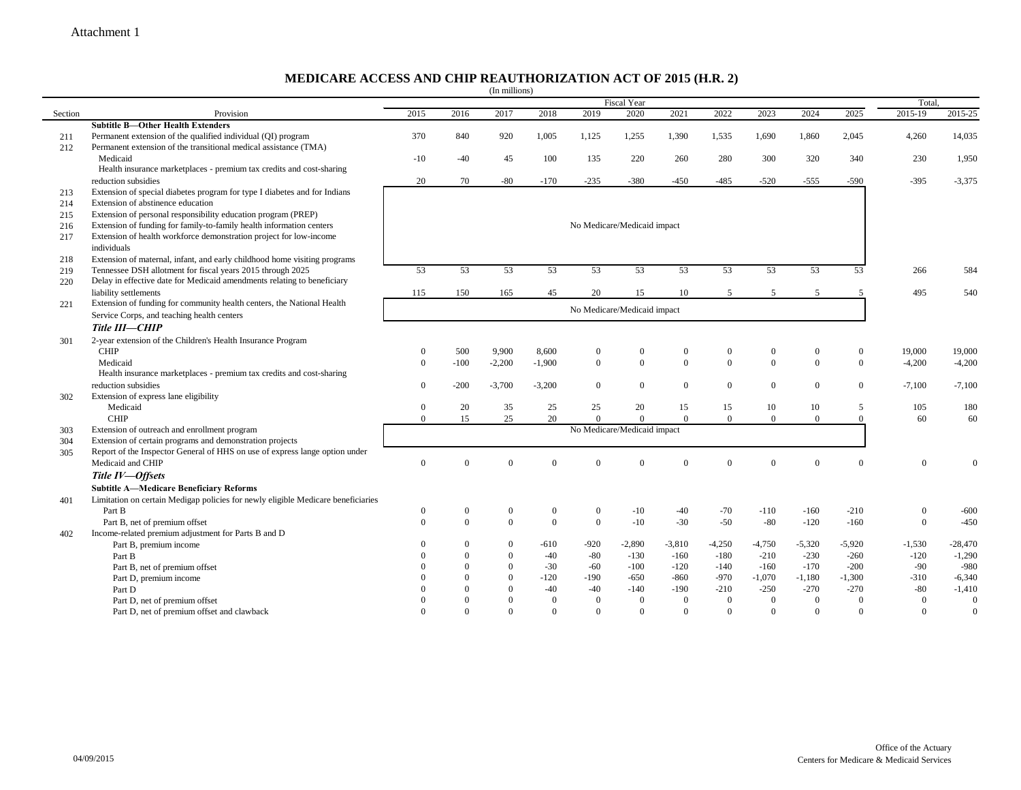### **MEDICARE ACCESS AND CHIP REAUTHORIZATION ACT OF 2015 (H.R. 2)**

|         |                                                                                  |                             |                  | (In millions)    |              |                             |                |                |                |                  |                  |                  |                |                  |
|---------|----------------------------------------------------------------------------------|-----------------------------|------------------|------------------|--------------|-----------------------------|----------------|----------------|----------------|------------------|------------------|------------------|----------------|------------------|
|         |                                                                                  | Fiscal Year                 |                  |                  |              |                             |                |                |                |                  |                  |                  |                | Total.           |
| Section | Provision                                                                        | 2015                        | 2016             | 2017             | 2018         | 2019                        | 2020           | 2021           | 2022           | 2023             | 2024             | 2025             | 2015-19        | 2015-25          |
|         | <b>Subtitle B-Other Health Extenders</b>                                         |                             |                  |                  |              |                             |                |                |                |                  |                  |                  |                |                  |
| 211     | Permanent extension of the qualified individual (QI) program                     | 370                         | 840              | 920              | 1,005        | 1,125                       | 1,255          | 1,390          | 1,535          | 1,690            | 1,860            | 2,045            | 4,260          | 14,035           |
| 212     | Permanent extension of the transitional medical assistance (TMA)                 |                             |                  |                  |              |                             |                |                |                |                  |                  |                  |                |                  |
|         | Medicaid                                                                         | $-10$                       | $-40$            | 45               | 100          | 135                         | 220            | 260            | 280            | 300              | 320              | 340              | 230            | 1,950            |
|         | Health insurance marketplaces - premium tax credits and cost-sharing             |                             |                  |                  |              |                             |                |                |                |                  |                  |                  |                |                  |
|         | reduction subsidies                                                              | 20                          | 70               | $-80$            | $-170$       | $-235$                      | $-380$         | $-450$         | -485           | $-520$           | $-555$           | $-590$           | $-395$         | $-3,375$         |
| 213     | Extension of special diabetes program for type I diabetes and for Indians        |                             |                  |                  |              |                             |                |                |                |                  |                  |                  |                |                  |
| 214     | Extension of abstinence education                                                |                             |                  |                  |              |                             |                |                |                |                  |                  |                  |                |                  |
| 215     | Extension of personal responsibility education program (PREP)                    |                             |                  |                  |              |                             |                |                |                |                  |                  |                  |                |                  |
| 216     | Extension of funding for family-to-family health information centers             |                             |                  |                  |              | No Medicare/Medicaid impact |                |                |                |                  |                  |                  |                |                  |
| 217     | Extension of health workforce demonstration project for low-income               |                             |                  |                  |              |                             |                |                |                |                  |                  |                  |                |                  |
|         | individuals                                                                      |                             |                  |                  |              |                             |                |                |                |                  |                  |                  |                |                  |
| 218     | Extension of maternal, infant, and early childhood home visiting programs        |                             |                  |                  |              |                             |                |                |                |                  |                  |                  |                |                  |
| 219     | Tennessee DSH allotment for fiscal years 2015 through 2025                       | 53                          | 53               | 53               | 53           | 53                          | 53             | 53             | 53             | 53               | 53               | 53               | 266            | 584              |
| 220     | Delay in effective date for Medicaid amendments relating to beneficiary          |                             |                  |                  |              |                             |                |                |                |                  |                  |                  |                |                  |
|         | liability settlements                                                            | 115                         | 150              | 165              | 45           | 20                          | 15             | 10             |                | $\overline{2}$   | $\sim$           |                  | 495            | 540              |
| 221     | Extension of funding for community health centers, the National Health           |                             |                  |                  |              |                             |                |                |                |                  |                  |                  |                |                  |
|         | Service Corps, and teaching health centers                                       | No Medicare/Medicaid impact |                  |                  |              |                             |                |                |                |                  |                  |                  |                |                  |
|         | Title III-CHIP                                                                   |                             |                  |                  |              |                             |                |                |                |                  |                  |                  |                |                  |
| 301     | 2-year extension of the Children's Health Insurance Program                      |                             |                  |                  |              |                             |                |                |                |                  |                  |                  |                |                  |
|         | <b>CHIP</b>                                                                      | $\Omega$                    | 500              | 9,900            | 8,600        | $\boldsymbol{0}$            | $\overline{0}$ | $\overline{0}$ | $\mathbf{0}$   | $\boldsymbol{0}$ | $\boldsymbol{0}$ | $\boldsymbol{0}$ | 19,000         | 19,000           |
|         | Medicaid                                                                         | $\theta$                    | $-100$           | $-2,200$         | $-1,900$     | $\mathbf{0}$                | $\mathbf{0}$   | $\overline{0}$ | $\mathbf{0}$   | $\overline{0}$   | $\overline{0}$   | $\mathbf{0}$     | $-4,200$       | $-4,200$         |
|         | Health insurance marketplaces - premium tax credits and cost-sharing             |                             |                  |                  |              |                             |                |                |                |                  |                  |                  |                |                  |
|         | reduction subsidies                                                              | $\overline{0}$              | $-200$           | $-3,700$         | $-3,200$     | $\mathbf{0}$                | $\mathbf{0}$   | $\theta$       | $\mathbf{0}$   | $\boldsymbol{0}$ | $\overline{0}$   | $\mathbf{0}$     | $-7,100$       | $-7,100$         |
| 302     | Extension of express lane eligibility                                            |                             |                  |                  |              |                             |                |                |                |                  |                  |                  |                |                  |
|         | Medicaid                                                                         | $\overline{0}$              | 20               | 35               | 25           | 25                          | 20             | 15             | 15             | 10               | 10               | 5                | 105            | 180              |
|         | <b>CHIP</b>                                                                      | $\overline{0}$              | 15               | 25               | 20           | $\overline{0}$              | $\theta$       | $\Omega$       | $\overline{0}$ | $\overline{0}$   | $\overline{0}$   | $\theta$         | 60             | 60               |
| 303     | Extension of outreach and enrollment program                                     |                             |                  |                  |              | No Medicare/Medicaid impact |                |                |                |                  |                  |                  |                |                  |
| 304     | Extension of certain programs and demonstration projects                         |                             |                  |                  |              |                             |                |                |                |                  |                  |                  |                |                  |
| 305     | Report of the Inspector General of HHS on use of express lange option under      |                             |                  |                  |              |                             |                |                |                |                  |                  |                  |                |                  |
|         | Medicaid and CHIP                                                                | $\mathbf{0}$                | $\theta$         | $\Omega$         | $\theta$     | $\overline{0}$              | $\overline{0}$ | $\theta$       | $\theta$       | $\mathbf{0}$     | $\theta$         | $\theta$         | $\mathbf{0}$   | $\Omega$         |
|         |                                                                                  |                             |                  |                  |              |                             |                |                |                |                  |                  |                  |                |                  |
|         | Title IV-Offsets                                                                 |                             |                  |                  |              |                             |                |                |                |                  |                  |                  |                |                  |
|         | <b>Subtitle A-Medicare Beneficiary Reforms</b>                                   |                             |                  |                  |              |                             |                |                |                |                  |                  |                  |                |                  |
| 401     | Limitation on certain Medigap policies for newly eligible Medicare beneficiaries |                             |                  |                  |              |                             |                |                |                |                  |                  |                  |                |                  |
|         | Part B                                                                           | $\boldsymbol{0}$            | $\boldsymbol{0}$ | $\boldsymbol{0}$ | $\mathbf{0}$ | $\mathbf{0}$                | $-10$          | $-40$          | $-70$          | $-110$           | $-160$           | $-210$           | $\mathbf{0}$   | $-600$           |
|         | Part B, net of premium offset                                                    | $\theta$                    | $\theta$         | $\overline{0}$   | $\theta$     | $\mathbf{0}$                | $-10$          | $-30$          | $-50$          | $-80$            | $-120$           | $-160$           | $\mathbf{0}$   | $-450$           |
| 402     | Income-related premium adjustment for Parts B and D                              |                             |                  |                  |              |                             |                |                |                |                  |                  |                  |                |                  |
|         | Part B, premium income                                                           |                             | $\Omega$         | $\Omega$         | $-610$       | $-920$                      | $-2,890$       | $-3,810$       | $-4,250$       | $-4,750$         | $-5,320$         | $-5,920$         | $-1,530$       | $-28,470$        |
|         | Part B                                                                           |                             | $\theta$         | $\theta$         | $-40$        | $-80$                       | $-130$         | $-160$         | $-180$         | $-210$           | $-230$           | $-260$           | $-120$         | $-1,290$         |
|         | Part B, net of premium offset                                                    |                             | $\Omega$         | $\Omega$         | $-30$        | $-60$                       | $-100$         | $-120$         | $-140$         | $-160$           | $-170$           | $-200$           | $-90$          | $-980$           |
|         | Part D, premium income                                                           |                             | $\mathbf{0}$     | $\Omega$         | $-120$       | $-190$                      | $-650$         | $-860$         | $-970$         | $-1,070$         | $-1,180$         | $-1,300$         | $-310$         | $-6,340$         |
|         | Part D                                                                           |                             | $\Omega$         |                  | $-40$        | $-40$                       | $-140$         | $-190$         | $-210$         | $-250$           | $-270$           | $-270$           | $-80$          | $-1,410$         |
|         | Part D, net of premium offset                                                    |                             | $\Omega$         | $\theta$         | $\theta$     | $\mathbf{0}$                | $\overline{0}$ | $\theta$       | $\overline{0}$ | $\boldsymbol{0}$ | $\overline{0}$   | $\theta$         | $\mathbf{0}$   | $\boldsymbol{0}$ |
|         | Part D, net of premium offset and clawback                                       | $\Omega$                    | $\theta$         | $\Omega$         | $\theta$     | $\mathbf{0}$                | $\overline{0}$ | $\theta$       | $\mathbf{0}$   | $\overline{0}$   | $\Omega$         | $\theta$         | $\overline{0}$ | $\mathbf{0}$     |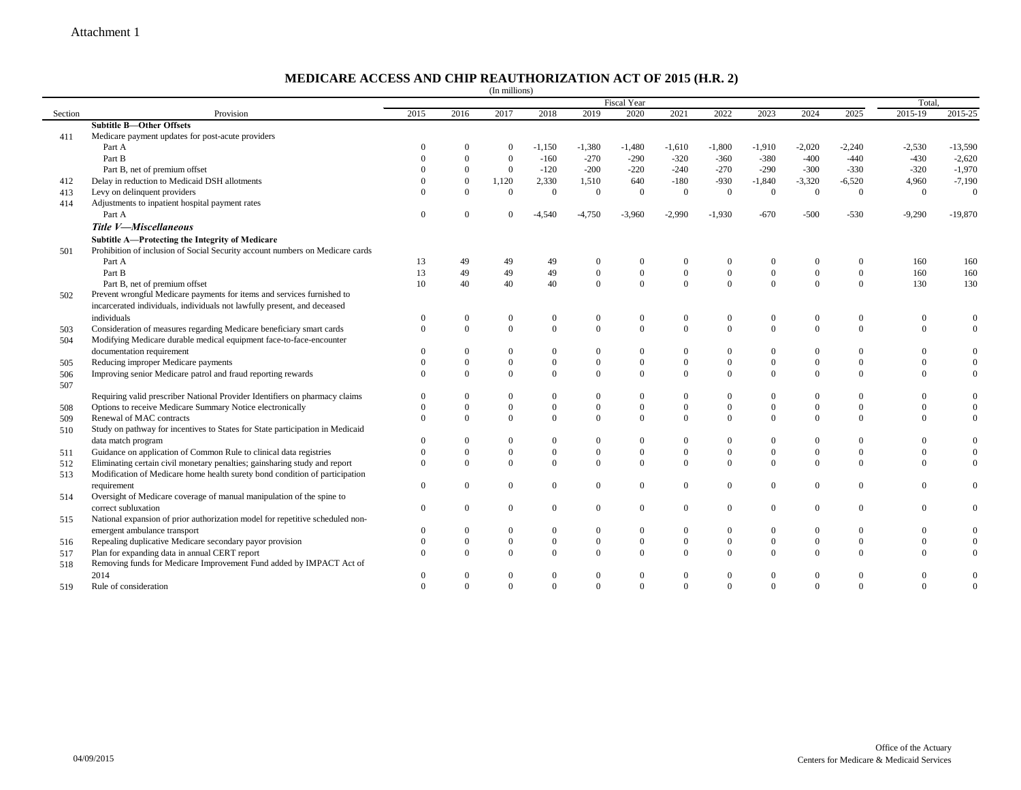$\overline{\phantom{0}}$ 

#### **MEDICARE ACCESS AND CHIP REAUTHORIZATION ACT OF 2015 (H.R. 2)**

|         |                                                                               |                |                  | (In millions)  |                  |                  |                  |                |                  |                  |                |                  |                |                  |  |
|---------|-------------------------------------------------------------------------------|----------------|------------------|----------------|------------------|------------------|------------------|----------------|------------------|------------------|----------------|------------------|----------------|------------------|--|
|         |                                                                               | Fiscal Year    |                  |                |                  |                  |                  |                |                  |                  |                |                  | Total.         |                  |  |
| Section | Provision                                                                     | 2015           | 2016             | 2017           | 2018             | 2019             | 2020             | 2021           | 2022             | 2023             | 2024           | 2025             | 2015-19        | 2015-25          |  |
|         | <b>Subtitle B-Other Offsets</b>                                               |                |                  |                |                  |                  |                  |                |                  |                  |                |                  |                |                  |  |
| 411     | Medicare payment updates for post-acute providers                             |                |                  |                |                  |                  |                  |                |                  |                  |                |                  |                |                  |  |
|         | Part A                                                                        | $\Omega$       |                  | $\Omega$       | $-1,150$         | $-1,380$         | $-1,480$         | $-1,610$       | $-1,800$         | $-1,910$         | $-2,020$       | $-2,240$         | $-2,530$       | $-13,590$        |  |
|         | Part B                                                                        | $\Omega$       | $\overline{0}$   | $\overline{0}$ | $-160$           | $-270$           | $-290$           | $-320$         | $-360$           | $-380$           | $-400$         | $-440$           | $-430$         | $-2,620$         |  |
|         | Part B, net of premium offset                                                 | $\Omega$       | $\overline{0}$   | $\overline{0}$ | $-120$           | $-200$           | $-220$           | $-240$         | $-270$           | $-290$           | $-300$         | $-330$           | $-320$         | $-1,970$         |  |
| 412     | Delay in reduction to Medicaid DSH allotments                                 | $\theta$       | $\boldsymbol{0}$ | 1,120          | 2,330            | 1,510            | 640              | $-180$         | $-930$           | $-1,840$         | $-3,320$       | $-6,520$         | 4,960          | $-7,190$         |  |
| 413     | Levy on delinquent providers                                                  | $\Omega$       | $\theta$         | $\Omega$       | $\mathbf{0}$     | $\mathbf{0}$     | $\theta$         | $\theta$       | $\mathbf{0}$     | $\mathbf{0}$     | $\mathbf{0}$   | $\theta$         | $\overline{0}$ | $\mathbf{0}$     |  |
| 414     | Adjustments to inpatient hospital payment rates                               |                |                  |                |                  |                  |                  |                |                  |                  |                |                  |                |                  |  |
|         | Part A                                                                        | $\overline{0}$ | $\Omega$         | 0              | $-4,540$         | $-4,750$         | $-3,960$         | $-2,990$       | $-1,930$         | $-670$           | $-500$         | $-530$           | $-9,290$       | $-19,870$        |  |
|         | Title V-Miscellaneous                                                         |                |                  |                |                  |                  |                  |                |                  |                  |                |                  |                |                  |  |
|         | Subtitle A-Protecting the Integrity of Medicare                               |                |                  |                |                  |                  |                  |                |                  |                  |                |                  |                |                  |  |
| 501     | Prohibition of inclusion of Social Security account numbers on Medicare cards |                |                  |                |                  |                  |                  |                |                  |                  |                |                  |                |                  |  |
|         | Part A                                                                        | 13             | 49               | 49             | 49               | $\Omega$         | $\theta$         |                | $\bf{0}$         | $\bf{0}$         | $\Omega$       | $\Omega$         | 160            | 160              |  |
|         | Part B                                                                        | 13             | 49               | 49             | 49               | $\mathbf{0}$     | $\boldsymbol{0}$ | $\mathbf{0}$   | $\boldsymbol{0}$ | $\mathbf{0}$     | $\mathbf{0}$   | $\overline{0}$   | 160            | 160              |  |
|         | Part B, net of premium offset                                                 | 10             | 40               | 40             | 40               | $\theta$         | $\theta$         | $\Omega$       | $\theta$         | $\theta$         | $\theta$       | $\theta$         | 130            | 130              |  |
| 502     | Prevent wrongful Medicare payments for items and services furnished to        |                |                  |                |                  |                  |                  |                |                  |                  |                |                  |                |                  |  |
|         | incarcerated individuals, individuals not lawfully present, and deceased      |                |                  |                |                  |                  |                  |                |                  |                  |                |                  |                |                  |  |
|         | individuals                                                                   | $\theta$       | $\bf{0}$         | $\overline{0}$ | 0                | $\mathbf{0}$     | $\mathbf{0}$     | $\mathbf{0}$   | $\bf{0}$         | $\bf{0}$         | $\mathbf{0}$   | $\bf{0}$         | $\Omega$       | $\theta$         |  |
| 503     | Consideration of measures regarding Medicare beneficiary smart cards          | $\Omega$       | $\mathbf{0}$     | $\Omega$       | $\mathbf{0}$     | $\mathbf{0}$     | $\theta$         | $\theta$       | $\mathbf{0}$     | $\mathbf{0}$     | $\mathbf{0}$   | $\overline{0}$   | $\Omega$       | $\overline{0}$   |  |
| 504     | Modifying Medicare durable medical equipment face-to-face-encounter           |                |                  |                |                  |                  |                  |                |                  |                  |                |                  |                |                  |  |
|         | documentation requirement                                                     | $\Omega$       | $\bf{0}$         | 0              | 0                | $\mathbf{0}$     | $\mathbf{0}$     | $\Omega$       | $\mathbf{0}$     | $\boldsymbol{0}$ | $\bf{0}$       | $\bf{0}$         |                | $\mathbf{0}$     |  |
| 505     | Reducing improper Medicare payments                                           | $\Omega$       | $\mathbf{0}$     | $\theta$       | $\boldsymbol{0}$ | $\mathbf{0}$     | $\overline{0}$   | $\theta$       | $\mathbf{0}$     | $\mathbf{0}$     | $\mathbf{0}$   | $\overline{0}$   |                | $\theta$         |  |
| 506     | Improving senior Medicare patrol and fraud reporting rewards                  | $\Omega$       | $\Omega$         | $\Omega$       | $\mathbf{0}$     | $\mathbf{0}$     | $\overline{0}$   | $\theta$       | $\mathbf{0}$     | $\mathbf{0}$     | $\overline{0}$ | $\overline{0}$   | $\Omega$       | $\mathbf{0}$     |  |
| 507     |                                                                               |                |                  |                |                  |                  |                  |                |                  |                  |                |                  |                |                  |  |
|         | Requiring valid prescriber National Provider Identifiers on pharmacy claims   | $\Omega$       | $\Omega$         | $\Omega$       | $\boldsymbol{0}$ | $\Omega$         | $\Omega$         | $\Omega$       | $\mathbf{0}$     | $\mathbf{0}$     | $\Omega$       | $\Omega$         |                | $\theta$         |  |
| 508     | Options to receive Medicare Summary Notice electronically                     | $\Omega$       | $\Omega$         | $\mathbf{0}$   | $\boldsymbol{0}$ | $\mathbf{0}$     | $\mathbf{0}$     | $\bf{0}$       | $\mathbf{0}$     | $\mathbf{0}$     | $\mathbf{0}$   | $\boldsymbol{0}$ | $\Omega$       | $\boldsymbol{0}$ |  |
| 509     | Renewal of MAC contracts                                                      | $\Omega$       | $\Omega$         | $\Omega$       | $\mathbf{0}$     | $\theta$         | $\Omega$         | $\Omega$       | $\mathbf{0}$     | $\theta$         | $\theta$       | $\theta$         | $\Omega$       | $\mathbf{0}$     |  |
| 510     | Study on pathway for incentives to States for State participation in Medicaid |                |                  |                |                  |                  |                  |                |                  |                  |                |                  |                |                  |  |
|         | data match program                                                            | $\Omega$       | $\overline{0}$   | $\mathbf{0}$   | $\boldsymbol{0}$ | $\mathbf{0}$     | $\theta$         | $\Omega$       | $\mathbf{0}$     | $\mathbf{0}$     | $\overline{0}$ | $\overline{0}$   | $\Omega$       | $\overline{0}$   |  |
| 511     | Guidance on application of Common Rule to clinical data registries            | $\Omega$       | $\boldsymbol{0}$ | $\overline{0}$ | $\boldsymbol{0}$ | $\mathbf{0}$     | $\mathbf{0}$     | $\mathbf{0}$   | $\mathbf{0}$     | $\mathbf{0}$     | $\mathbf{0}$   | $\mathbf{0}$     |                | $\mathbf{0}$     |  |
| 512     | Eliminating certain civil monetary penalties; gainsharing study and report    | $\Omega$       | $\mathbf{0}$     | $\Omega$       | $\boldsymbol{0}$ | $\mathbf{0}$     | $\theta$         | $\Omega$       | $\mathbf{0}$     | $\mathbf{0}$     | $\mathbf{0}$   | $\overline{0}$   | $\Omega$       | $\mathbf{0}$     |  |
| 513     | Modification of Medicare home health surety bond condition of participation   |                |                  |                |                  |                  |                  |                |                  |                  |                |                  |                |                  |  |
|         | requirement                                                                   | $\Omega$       | $\boldsymbol{0}$ | $\overline{0}$ | $\boldsymbol{0}$ | $\boldsymbol{0}$ | $\theta$         | $\overline{0}$ | $\mathbf{0}$     | $\mathbf{0}$     | $\mathbf{0}$   | $\boldsymbol{0}$ |                | $\mathbf{0}$     |  |
| 514     | Oversight of Medicare coverage of manual manipulation of the spine to         |                |                  |                |                  |                  |                  |                |                  |                  |                |                  |                |                  |  |
|         | correct subluxation                                                           | $\Omega$       | $\overline{0}$   | $\overline{0}$ | $\boldsymbol{0}$ | $\mathbf{0}$     | $\Omega$         | $\theta$       | $\mathbf{0}$     | $\mathbf{0}$     | $\overline{0}$ | $\overline{0}$   | $\Omega$       | $\boldsymbol{0}$ |  |
| 515     | National expansion of prior authorization model for repetitive scheduled non- |                |                  |                |                  |                  |                  |                |                  |                  |                |                  |                |                  |  |
|         | emergent ambulance transport                                                  | $\Omega$       | $\Omega$         | $\Omega$       | $\boldsymbol{0}$ | $\mathbf{0}$     | $\Omega$         | $\Omega$       | $\mathbf{0}$     | $\mathbf{0}$     | $\overline{0}$ | $\overline{0}$   | $\Omega$       | $\overline{0}$   |  |
| 516     | Repealing duplicative Medicare secondary payor provision                      | $\Omega$       | $\overline{0}$   | $\Omega$       | $\boldsymbol{0}$ | $\boldsymbol{0}$ | $\overline{0}$   | $\mathbf{0}$   | $\boldsymbol{0}$ | $\mathbf{0}$     | $\mathbf{0}$   | $\mathbf{0}$     |                | $\mathbf{0}$     |  |
| 517     | Plan for expanding data in annual CERT report                                 | $\Omega$       | $\Omega$         | $\Omega$       | $\overline{0}$   | $\Omega$         | $\mathbf{0}$     | $\Omega$       | $\mathbf{0}$     | $\theta$         | $\mathbf{0}$   | $\overline{0}$   |                | $\overline{0}$   |  |
| 518     | Removing funds for Medicare Improvement Fund added by IMPACT Act of           |                |                  |                |                  |                  |                  |                |                  |                  |                |                  |                |                  |  |
|         | 2014                                                                          | $\Omega$       | $\theta$         | $\Omega$       | $\overline{0}$   | $\Omega$         | $\mathbf{0}$     | $\Omega$       | $\overline{0}$   | $\mathbf{0}$     | $\overline{0}$ | $\mathbf{0}$     |                | $\mathbf{0}$     |  |
| 519     | Rule of consideration                                                         | $\Omega$       | $\Omega$         | $\Omega$       | $\Omega$         | $\Omega$         | $\Omega$         | $\theta$       | $\theta$         | $\Omega$         | $\theta$       | $\theta$         | $\Omega$       | $\theta$         |  |